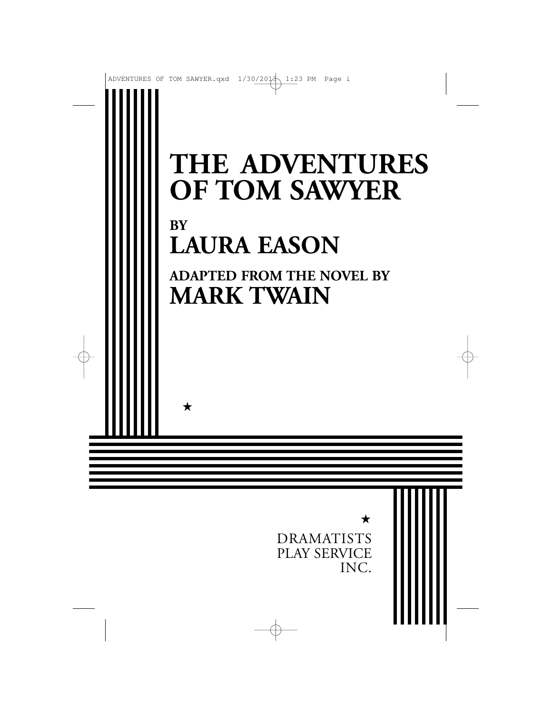## **THE ADVENTURES OF TOM SAWYER BY LAURA EASON ADAPTED FROM THE NOVEL BY MARK TWAIN**

★

★

DRAMATISTS PLAY SERVICE INC.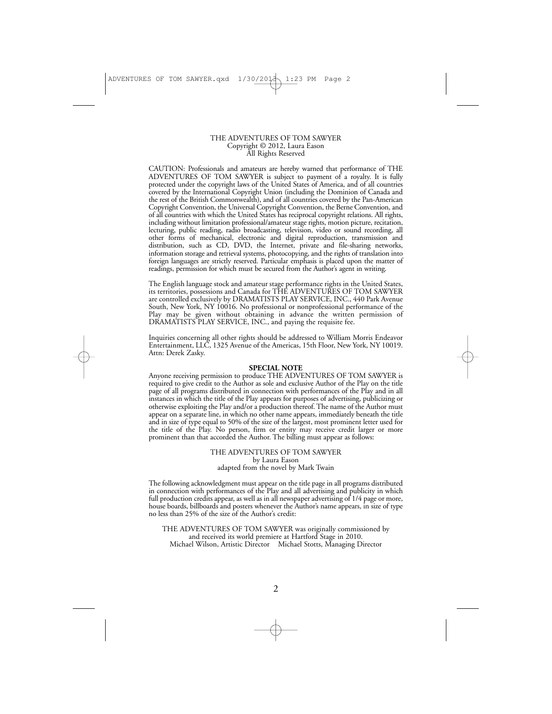#### THE ADVENTURES OF TOM SAWYER Copyright © 2012, Laura Eason All Rights Reserved

CAUTION: Professionals and amateurs are hereby warned that performance of THE ADVENTURES OF TOM SAWYER is subject to payment of a royalty. It is fully protected under the copyright laws of the United States of America, and of all countries covered by the International Copyright Union (including the Dominion of Canada and the rest of the British Commonwealth), and of all countries covered by the Pan-American Copyright Convention, the Universal Copyright Convention, the Berne Convention, and of all countries with which the United States has reciprocal copyright relations. All rights, including without limitation professional/amateur stage rights, motion picture, recitation, lecturing, public reading, radio broadcasting, television, video or sound recording, all other forms of mechanical, electronic and digital reproduction, transmission and distribution, such as CD, DVD, the Internet, private and file-sharing networks, information storage and retrieval systems, photocopying, and the rights of translation into foreign languages are strictly reserved. Particular emphasis is placed upon the matter of readings, permission for which must be secured from the Author's agent in writing.

The English language stock and amateur stage performance rights in the United States, its territories, possessions and Canada for THE ADVENTURES OF TOM SAWYER are controlled exclusively by DRAMATISTS PLAY SERVICE, INC., 440 Park Avenue South, New York, NY 10016. No professional or nonprofessional performance of the Play may be given without obtaining in advance the written permission of DRAMATISTS PLAY SERVICE, INC., and paying the requisite fee.

Inquiries concerning all other rights should be addressed to William Morris Endeavor Entertainment, LLC, 1325 Avenue of the Americas, 15th Floor, New York, NY 10019. Attn: Derek Zasky.

#### **SPECIAL NOTE**

Anyone receiving permission to produce THE ADVENTURES OF TOM SAWYER is required to give credit to the Author as sole and exclusive Author of the Play on the title page of all programs distributed in connection with performances of the Play and in all instances in which the title of the Play appears for purposes of advertising, publicizing or otherwise exploiting the Play and/or a production thereof. The name of the Author must appear on a separate line, in which no other name appears, immediately beneath the title and in size of type equal to 50% of the size of the largest, most prominent letter used for the title of the Play. No person, firm or entity may receive credit larger or more prominent than that accorded the Author. The billing must appear as follows:

> THE ADVENTURES OF TOM SAWYER by Laura Eason adapted from the novel by Mark Twain

The following acknowledgment must appear on the title page in all programs distributed in connection with performances of the Play and all advertising and publicity in which full production credits appear, as well as in all newspaper advertising of  $1/4$  page or more, house boards, billboards and posters whenever the Author's name appears, in size of type no less than 25% of the size of the Author's credit:

THE ADVENTURES OF TOM SAWYER was originally commissioned by and received its world premiere at Hartford Stage in 2010. Michael Wilson, Artistic Director Michael Stotts, Managing Director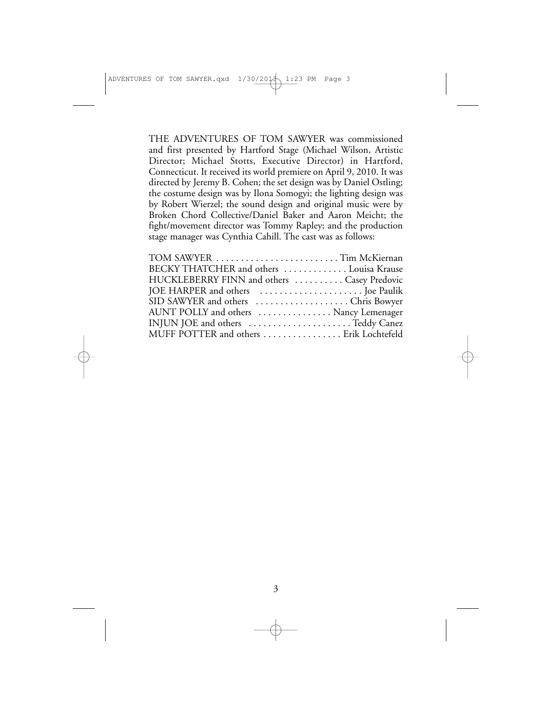THE ADVENTURES OF TOM SAWYER was commissioned and first presented by Hartford Stage (Michael Wilson, Artistic Director; Michael Stotts, Executive Director) in Hartford, Connecticut. It received its world premiere on April 9, 2010. It was directed by Jeremy B. Cohen; the set design was by Daniel Ostling; the costume design was by Ilona Somogyi; the lighting design was by Robert Wierzel; the sound design and original music were by Broken Chord Collective/Daniel Baker and Aaron Meicht; the fight/movement director was Tommy Rapley; and the production stage manager was Cynthia Cahill. The cast was as follows:

| TOM SAWYER Tim McKiernan                    |  |
|---------------------------------------------|--|
| BECKY THATCHER and others  Louisa Krause    |  |
| HUCKLEBERRY FINN and others  Casey Predovic |  |
|                                             |  |
| SID SAWYER and others Chris Bowyer          |  |
| AUNT POLLY and others  Nancy Lemenager      |  |
| INJUN JOE and others Teddy Canez            |  |
| MUFF POTTER and others  Erik Lochtefeld     |  |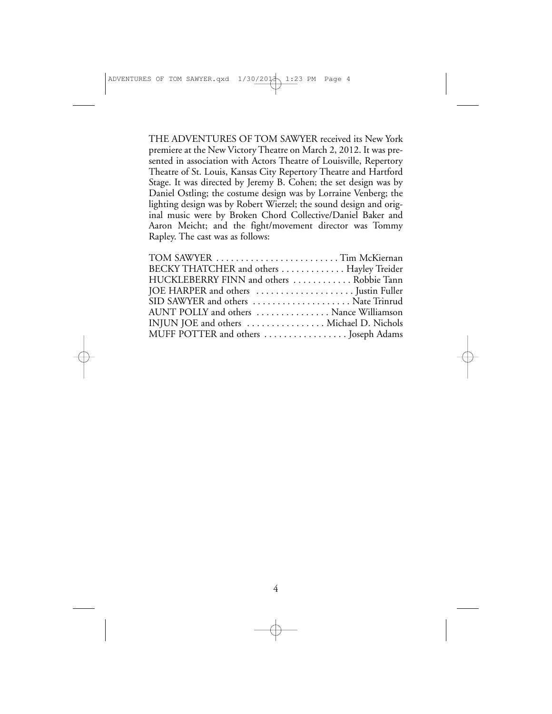THE ADVENTURES OF TOM SAWYER received its New York premiere at the New Victory Theatre on March 2, 2012. It was presented in association with Actors Theatre of Louisville, Repertory Theatre of St. Louis, Kansas City Repertory Theatre and Hartford Stage. It was directed by Jeremy B. Cohen; the set design was by Daniel Ostling; the costume design was by Lorraine Venberg; the lighting design was by Robert Wierzel; the sound design and original music were by Broken Chord Collective/Daniel Baker and Aaron Meicht; and the fight/movement director was Tommy Rapley. The cast was as follows:

| TOM SAWYER Tim McKiernan                  |  |
|-------------------------------------------|--|
| BECKY THATCHER and others  Hayley Treider |  |
| HUCKLEBERRY FINN and others  Robbie Tann  |  |
|                                           |  |
| SID SAWYER and others  Nate Trinrud       |  |
| AUNT POLLY and others  Nance Williamson   |  |
| INJUN JOE and others  Michael D. Nichols  |  |
| MUFF POTTER and others  Joseph Adams      |  |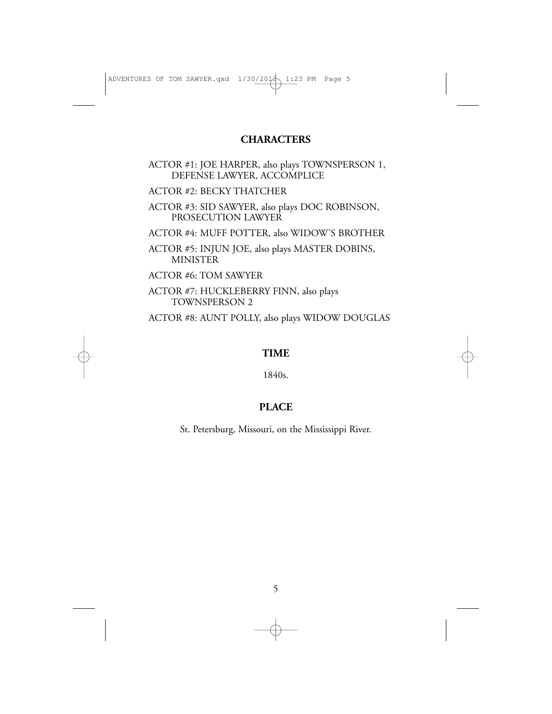### **CHARACTERS**

ACTOR #1: JOE HARPER, also plays TOWNSPERSON 1, DEFENSE LAWYER, ACCOMPLICE

ACTOR #2: BECKY THATCHER

ACTOR #3: SID SAWYER, also plays DOC ROBINSON, PROSECUTION LAWYER

ACTOR #4: MUFF POTTER, also WIDOW'S BROTHER

ACTOR #5: INJUN JOE, also plays MASTER DOBINS, **MINISTER** 

ACTOR #6: TOM SAWYER

ACTOR #7: HUCKLEBERRY FINN, also plays TOWNSPERSON 2

ACTOR #8: AUNT POLLY, also plays WIDOW DOUGLAS

### **TIME**

1840s.

### **PLACE**

St. Petersburg, Missouri, on the Mississippi River.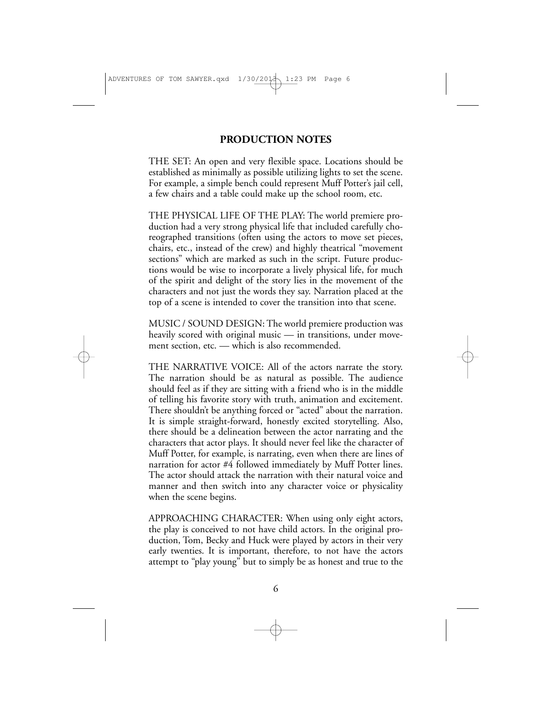### **PRODUCTION NOTES**

THE SET: An open and very flexible space. Locations should be established as minimally as possible utilizing lights to set the scene. For example, a simple bench could represent Muff Potter's jail cell, a few chairs and a table could make up the school room, etc.

THE PHYSICAL LIFE OF THE PLAY: The world premiere production had a very strong physical life that included carefully choreographed transitions (often using the actors to move set pieces, chairs, etc., instead of the crew) and highly theatrical "movement sections" which are marked as such in the script. Future productions would be wise to incorporate a lively physical life, for much of the spirit and delight of the story lies in the movement of the characters and not just the words they say. Narration placed at the top of a scene is intended to cover the transition into that scene.

MUSIC / SOUND DESIGN: The world premiere production was heavily scored with original music — in transitions, under movement section, etc. — which is also recommended.

THE NARRATIVE VOICE: All of the actors narrate the story. The narration should be as natural as possible. The audience should feel as if they are sitting with a friend who is in the middle of telling his favorite story with truth, animation and excitement. There shouldn't be anything forced or "acted" about the narration. It is simple straight-forward, honestly excited storytelling. Also, there should be a delineation between the actor narrating and the characters that actor plays. It should never feel like the character of Muff Potter, for example, is narrating, even when there are lines of narration for actor #4 followed immediately by Muff Potter lines. The actor should attack the narration with their natural voice and manner and then switch into any character voice or physicality when the scene begins.

APPROACHING CHARACTER: When using only eight actors, the play is conceived to not have child actors. In the original production, Tom, Becky and Huck were played by actors in their very early twenties. It is important, therefore, to not have the actors attempt to "play young" but to simply be as honest and true to the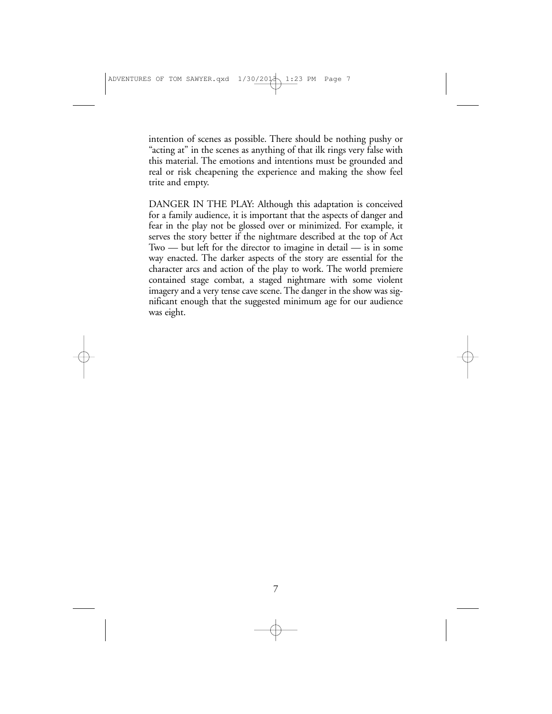intention of scenes as possible. There should be nothing pushy or "acting at" in the scenes as anything of that ilk rings very false with this material. The emotions and intentions must be grounded and real or risk cheapening the experience and making the show feel trite and empty.

DANGER IN THE PLAY: Although this adaptation is conceived for a family audience, it is important that the aspects of danger and fear in the play not be glossed over or minimized. For example, it serves the story better if the nightmare described at the top of Act Two — but left for the director to imagine in detail — is in some way enacted. The darker aspects of the story are essential for the character arcs and action of the play to work. The world premiere contained stage combat, a staged nightmare with some violent imagery and a very tense cave scene. The danger in the show was significant enough that the suggested minimum age for our audience was eight.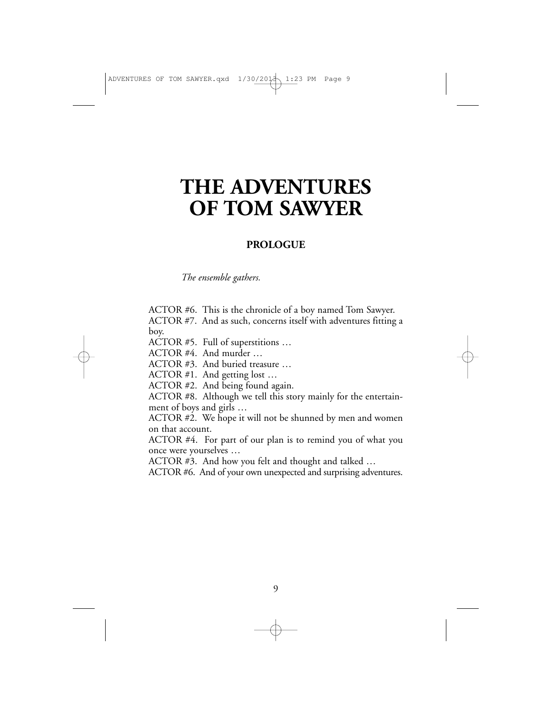### **THE ADVENTURES OF TOM SAWYER**

### **PROLOGUE**

*The ensemble gathers.*

ACTOR #6. This is the chronicle of a boy named Tom Sawyer. ACTOR #7. And as such, concerns itself with adventures fitting a boy.

ACTOR #5. Full of superstitions …

ACTOR #4. And murder …

ACTOR #3. And buried treasure …

ACTOR #1. And getting lost …

ACTOR #2. And being found again.

ACTOR #8. Although we tell this story mainly for the entertainment of boys and girls …

ACTOR #2. We hope it will not be shunned by men and women on that account.

ACTOR #4. For part of our plan is to remind you of what you once were yourselves …

ACTOR #3. And how you felt and thought and talked …

ACTOR #6. And of your own unexpected and surprising adventures.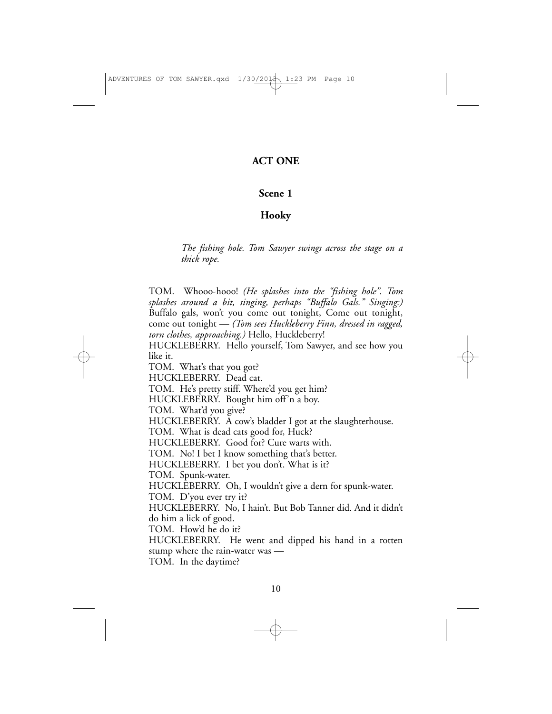### **ACT ONE**

### **Scene 1**

### **Hooky**

*The fishing hole. Tom Sawyer swings across the stage on a thick rope.*

TOM. Whooo-hooo! *(He splashes into the "fishing hole". Tom splashes around a bit, singing, perhaps "Buffalo Gals." Singing:)* Buffalo gals, won't you come out tonight, Come out tonight, come out tonight — *(Tom sees Huckleberry Finn, dressed in ragged, torn clothes, approaching.)* Hello, Huckleberry!

HUCKLEBERRY. Hello yourself, Tom Sawyer, and see how you like it.

TOM. What's that you got?

HUCKLEBERRY. Dead cat.

TOM. He's pretty stiff. Where'd you get him?

HUCKLEBERRY. Bought him off'n a boy.

TOM. What'd you give?

HUCKLEBERRY. A cow's bladder I got at the slaughterhouse.

TOM. What is dead cats good for, Huck?

HUCKLEBERRY. Good for? Cure warts with.

TOM. No! I bet I know something that's better.

HUCKLEBERRY. I bet you don't. What is it?

TOM. Spunk-water.

HUCKLEBERRY. Oh, I wouldn't give a dern for spunk-water.

TOM. D'you ever try it?

HUCKLEBERRY. No, I hain't. But Bob Tanner did. And it didn't do him a lick of good.

TOM. How'd he do it?

HUCKLEBERRY. He went and dipped his hand in a rotten stump where the rain-water was —

TOM. In the daytime?